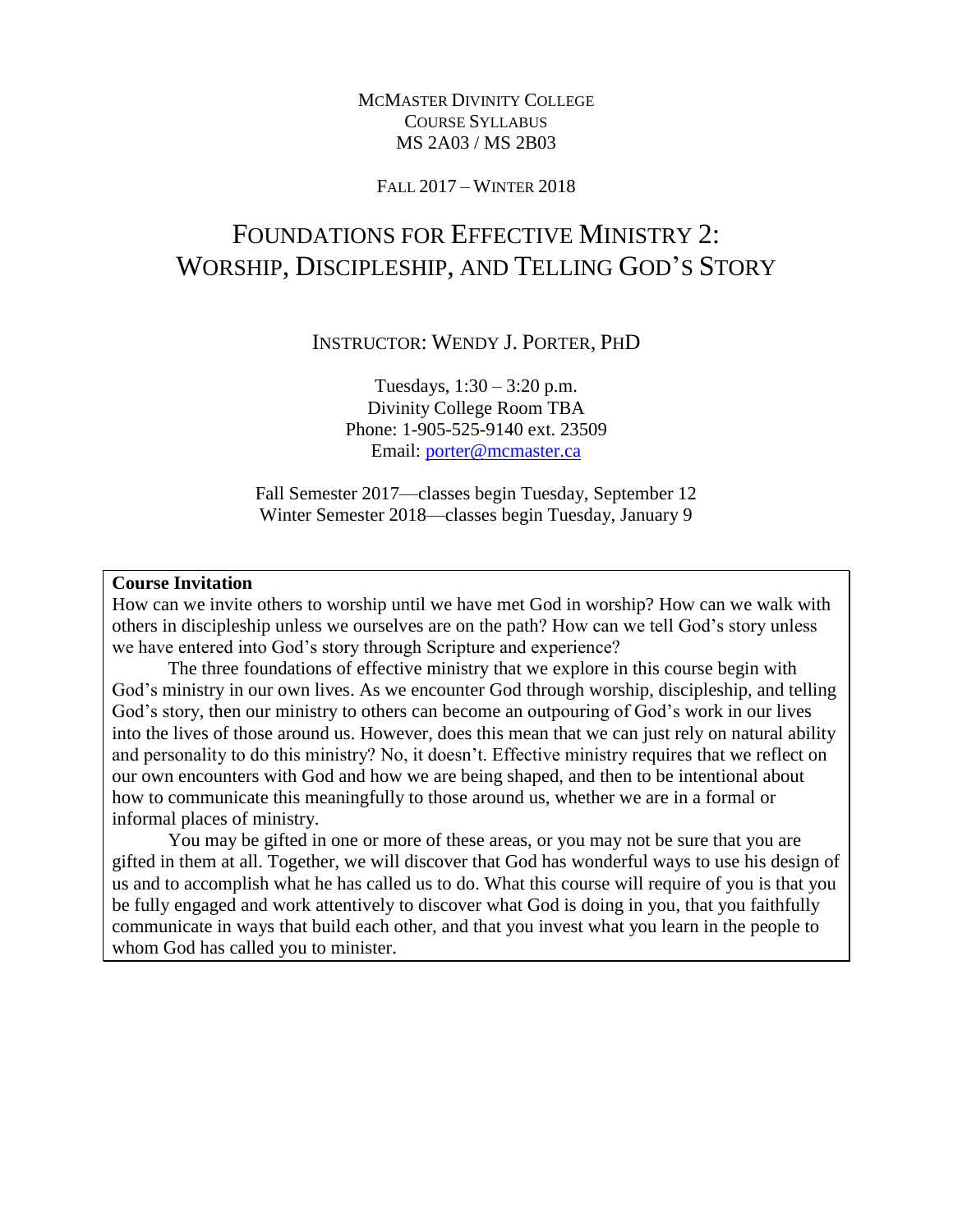### MCMASTER DIVINITY COLLEGE COURSE SYLLABUS MS 2A03 / MS 2B03

#### FALL 2017 – WINTER 2018

# FOUNDATIONS FOR EFFECTIVE MINISTRY 2: WORSHIP, DISCIPLESHIP, AND TELLING GOD'S STORY

#### INSTRUCTOR: WENDY J. PORTER, PHD

Tuesdays, 1:30 – 3:20 p.m. Divinity College Room TBA Phone: 1-905-525-9140 ext. 23509 Email: [porter@mcmaster.ca](mailto:porter@mcmaster.ca)

Fall Semester 2017—classes begin Tuesday, September 12 Winter Semester 2018—classes begin Tuesday, January 9

#### **Course Invitation**

How can we invite others to worship until we have met God in worship? How can we walk with others in discipleship unless we ourselves are on the path? How can we tell God's story unless we have entered into God's story through Scripture and experience?

The three foundations of effective ministry that we explore in this course begin with God's ministry in our own lives. As we encounter God through worship, discipleship, and telling God's story, then our ministry to others can become an outpouring of God's work in our lives into the lives of those around us. However, does this mean that we can just rely on natural ability and personality to do this ministry? No, it doesn't. Effective ministry requires that we reflect on our own encounters with God and how we are being shaped, and then to be intentional about how to communicate this meaningfully to those around us, whether we are in a formal or informal places of ministry.

You may be gifted in one or more of these areas, or you may not be sure that you are gifted in them at all. Together, we will discover that God has wonderful ways to use his design of us and to accomplish what he has called us to do. What this course will require of you is that you be fully engaged and work attentively to discover what God is doing in you, that you faithfully communicate in ways that build each other, and that you invest what you learn in the people to whom God has called you to minister.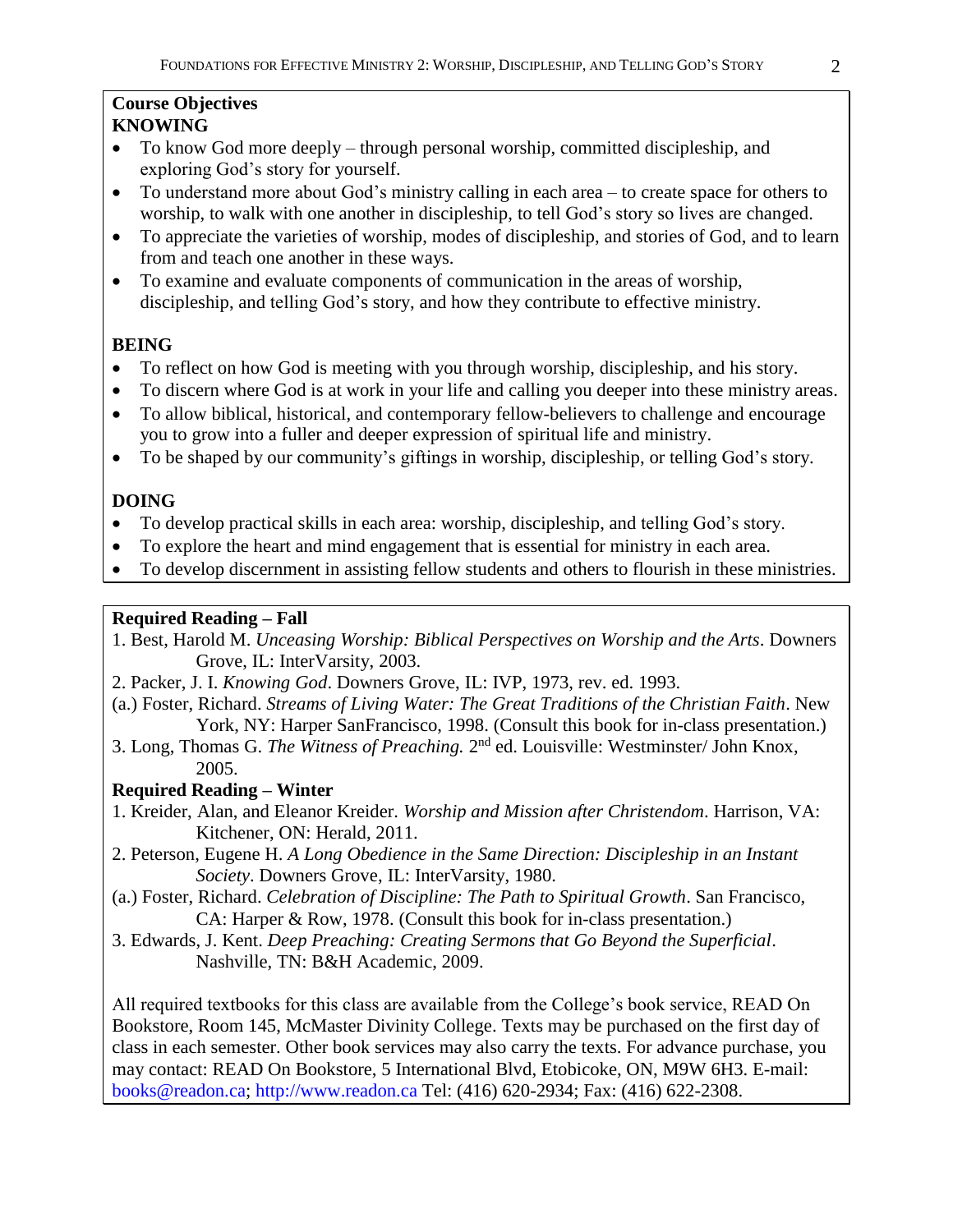## **Course Objectives**

## **KNOWING**

- To know God more deeply through personal worship, committed discipleship, and exploring God's story for yourself.
- To understand more about God's ministry calling in each area to create space for others to worship, to walk with one another in discipleship, to tell God's story so lives are changed.
- To appreciate the varieties of worship, modes of discipleship, and stories of God, and to learn from and teach one another in these ways.
- To examine and evaluate components of communication in the areas of worship, discipleship, and telling God's story, and how they contribute to effective ministry.

## **BEING**

- To reflect on how God is meeting with you through worship, discipleship, and his story.
- To discern where God is at work in your life and calling you deeper into these ministry areas.
- To allow biblical, historical, and contemporary fellow-believers to challenge and encourage you to grow into a fuller and deeper expression of spiritual life and ministry.
- To be shaped by our community's giftings in worship, discipleship, or telling God's story.

## **DOING**

- To develop practical skills in each area: worship, discipleship, and telling God's story.
- To explore the heart and mind engagement that is essential for ministry in each area.
- To develop discernment in assisting fellow students and others to flourish in these ministries.

## **Required Reading – Fall**

- 1. Best, Harold M. *Unceasing Worship: Biblical Perspectives on Worship and the Arts*. Downers Grove, IL: InterVarsity, 2003.
- 2. Packer, J. I. *Knowing God*. Downers Grove, IL: IVP, 1973, rev. ed. 1993.
- (a.) Foster, Richard. *Streams of Living Water: The Great Traditions of the Christian Faith*. New York, NY: Harper SanFrancisco, 1998. (Consult this book for in-class presentation.)
- 3. Long, Thomas G. *The Witness of Preaching*. 2<sup>nd</sup> ed. Louisville: Westminster/ John Knox, 2005.

## **Required Reading – Winter**

- 1. Kreider, Alan, and Eleanor Kreider. *Worship and Mission after Christendom*. Harrison, VA: Kitchener, ON: Herald, 2011.
- 2. Peterson, Eugene H. *A Long Obedience in the Same Direction: Discipleship in an Instant Society*. Downers Grove, IL: InterVarsity, 1980.
- (a.) Foster, Richard. *Celebration of Discipline: The Path to Spiritual Growth*. San Francisco, CA: Harper & Row, 1978. (Consult this book for in-class presentation.)
- 3. Edwards, J. Kent. *Deep Preaching: Creating Sermons that Go Beyond the Superficial*. Nashville, TN: B&H Academic, 2009.

All required textbooks for this class are available from the College's book service, READ On Bookstore, Room 145, McMaster Divinity College. Texts may be purchased on the first day of class in each semester. Other book services may also carry the texts. For advance purchase, you may contact: READ On Bookstore, 5 International Blvd, Etobicoke, ON, M9W 6H3. E-mail: books@readon.ca; http://www.readon.ca Tel: (416) 620-2934; Fax: (416) 622-2308.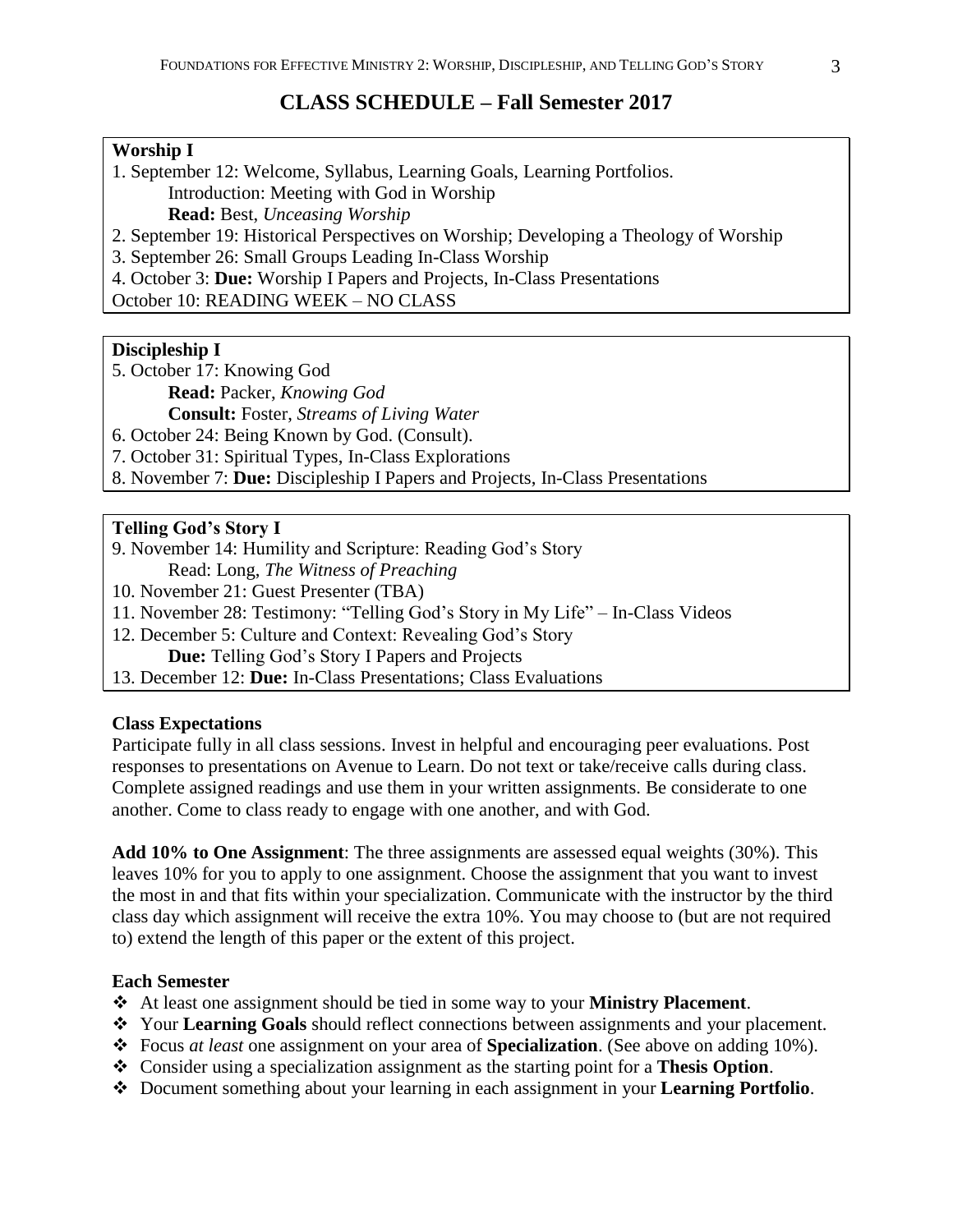## **CLASS SCHEDULE – Fall Semester 2017**

#### **Worship I**

- 1. September 12: Welcome, Syllabus, Learning Goals, Learning Portfolios. Introduction: Meeting with God in Worship **Read:** Best, *Unceasing Worship*
- 2. September 19: Historical Perspectives on Worship; Developing a Theology of Worship
- 3. September 26: Small Groups Leading In-Class Worship
- 4. October 3: **Due:** Worship I Papers and Projects, In-Class Presentations

October 10: READING WEEK – NO CLASS

## **Discipleship I**

- 5. October 17: Knowing God **Read:** Packer, *Knowing God* **Consult:** Foster, *Streams of Living Water*
- 6. October 24: Being Known by God. (Consult).
- 7. October 31: Spiritual Types, In-Class Explorations
- 8. November 7: **Due:** Discipleship I Papers and Projects, In-Class Presentations

#### **Telling God's Story I**

- 9. November 14: Humility and Scripture: Reading God's Story Read: Long, *The Witness of Preaching*
- 10. November 21: Guest Presenter (TBA)
- 11. November 28: Testimony: "Telling God's Story in My Life" In-Class Videos
- 12. December 5: Culture and Context: Revealing God's Story
	- **Due:** Telling God's Story I Papers and Projects
- 13. December 12: **Due:** In-Class Presentations; Class Evaluations

#### **Class Expectations**

Participate fully in all class sessions. Invest in helpful and encouraging peer evaluations. Post responses to presentations on Avenue to Learn. Do not text or take/receive calls during class. Complete assigned readings and use them in your written assignments. Be considerate to one another. Come to class ready to engage with one another, and with God.

**Add 10% to One Assignment**: The three assignments are assessed equal weights (30%). This leaves 10% for you to apply to one assignment. Choose the assignment that you want to invest the most in and that fits within your specialization. Communicate with the instructor by the third class day which assignment will receive the extra 10%. You may choose to (but are not required to) extend the length of this paper or the extent of this project.

#### **Each Semester**

- At least one assignment should be tied in some way to your **Ministry Placement**.
- \* Your **Learning Goals** should reflect connections between assignments and your placement.
- Focus *at least* one assignment on your area of **Specialization**. (See above on adding 10%).
- Consider using a specialization assignment as the starting point for a **Thesis Option**.
- Document something about your learning in each assignment in your **Learning Portfolio**.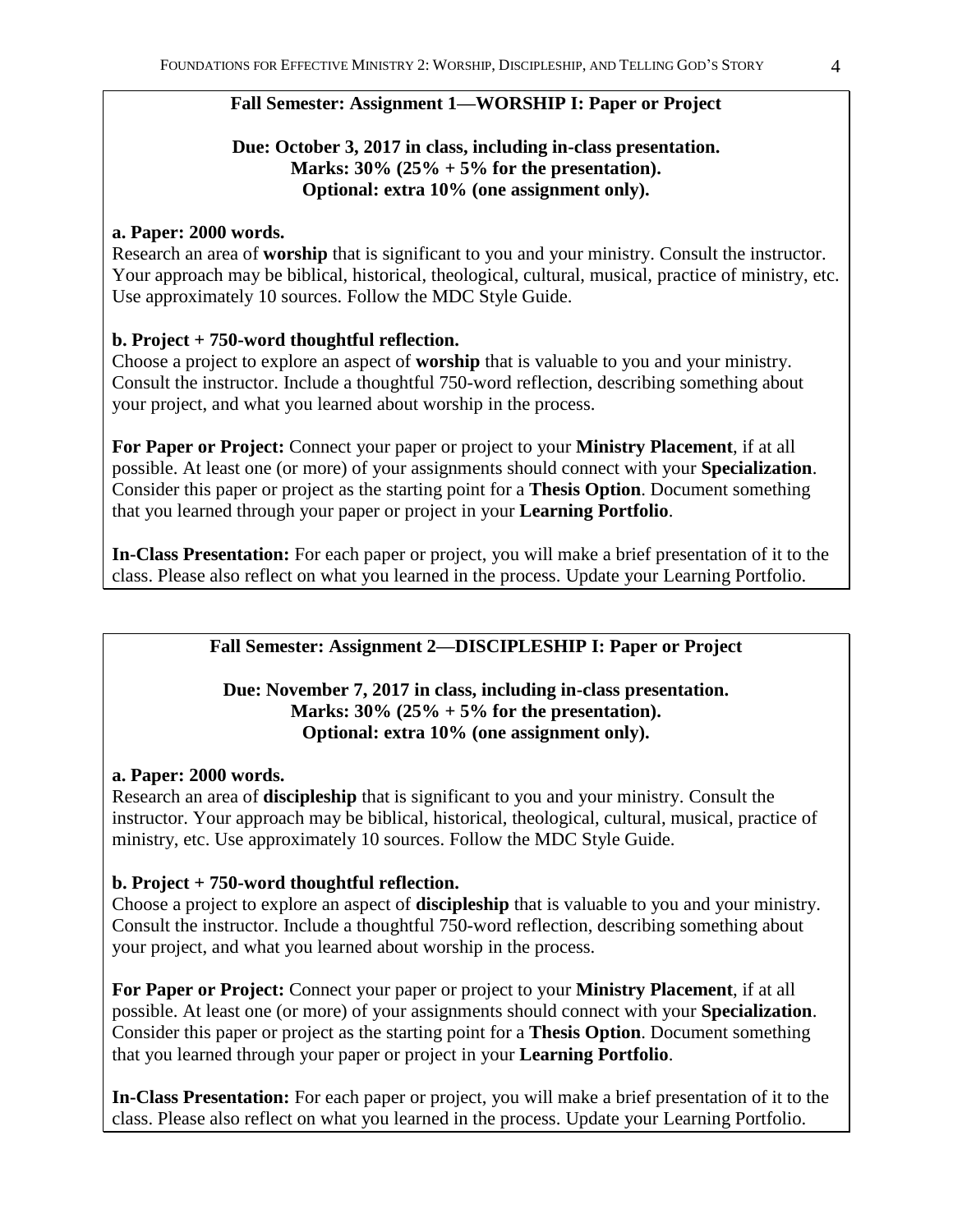### **Fall Semester: Assignment 1—WORSHIP I: Paper or Project**

## **Due: October 3, 2017 in class, including in-class presentation. Marks: 30% (25% + 5% for the presentation). Optional: extra 10% (one assignment only).**

#### **a. Paper: 2000 words.**

Research an area of **worship** that is significant to you and your ministry. Consult the instructor. Your approach may be biblical, historical, theological, cultural, musical, practice of ministry, etc. Use approximately 10 sources. Follow the MDC Style Guide.

## **b. Project + 750-word thoughtful reflection.**

Choose a project to explore an aspect of **worship** that is valuable to you and your ministry. Consult the instructor. Include a thoughtful 750-word reflection, describing something about your project, and what you learned about worship in the process.

**For Paper or Project:** Connect your paper or project to your **Ministry Placement**, if at all possible. At least one (or more) of your assignments should connect with your **Specialization**. Consider this paper or project as the starting point for a **Thesis Option**. Document something that you learned through your paper or project in your **Learning Portfolio**.

**In-Class Presentation:** For each paper or project, you will make a brief presentation of it to the class. Please also reflect on what you learned in the process. Update your Learning Portfolio.

## **Fall Semester: Assignment 2—DISCIPLESHIP I: Paper or Project**

## **Due: November 7, 2017 in class, including in-class presentation. Marks: 30% (25% + 5% for the presentation). Optional: extra 10% (one assignment only).**

## **a. Paper: 2000 words.**

Research an area of **discipleship** that is significant to you and your ministry. Consult the instructor. Your approach may be biblical, historical, theological, cultural, musical, practice of ministry, etc. Use approximately 10 sources. Follow the MDC Style Guide.

## **b. Project + 750-word thoughtful reflection.**

Choose a project to explore an aspect of **discipleship** that is valuable to you and your ministry. Consult the instructor. Include a thoughtful 750-word reflection, describing something about your project, and what you learned about worship in the process.

**For Paper or Project:** Connect your paper or project to your **Ministry Placement**, if at all possible. At least one (or more) of your assignments should connect with your **Specialization**. Consider this paper or project as the starting point for a **Thesis Option**. Document something that you learned through your paper or project in your **Learning Portfolio**.

**In-Class Presentation:** For each paper or project, you will make a brief presentation of it to the class. Please also reflect on what you learned in the process. Update your Learning Portfolio.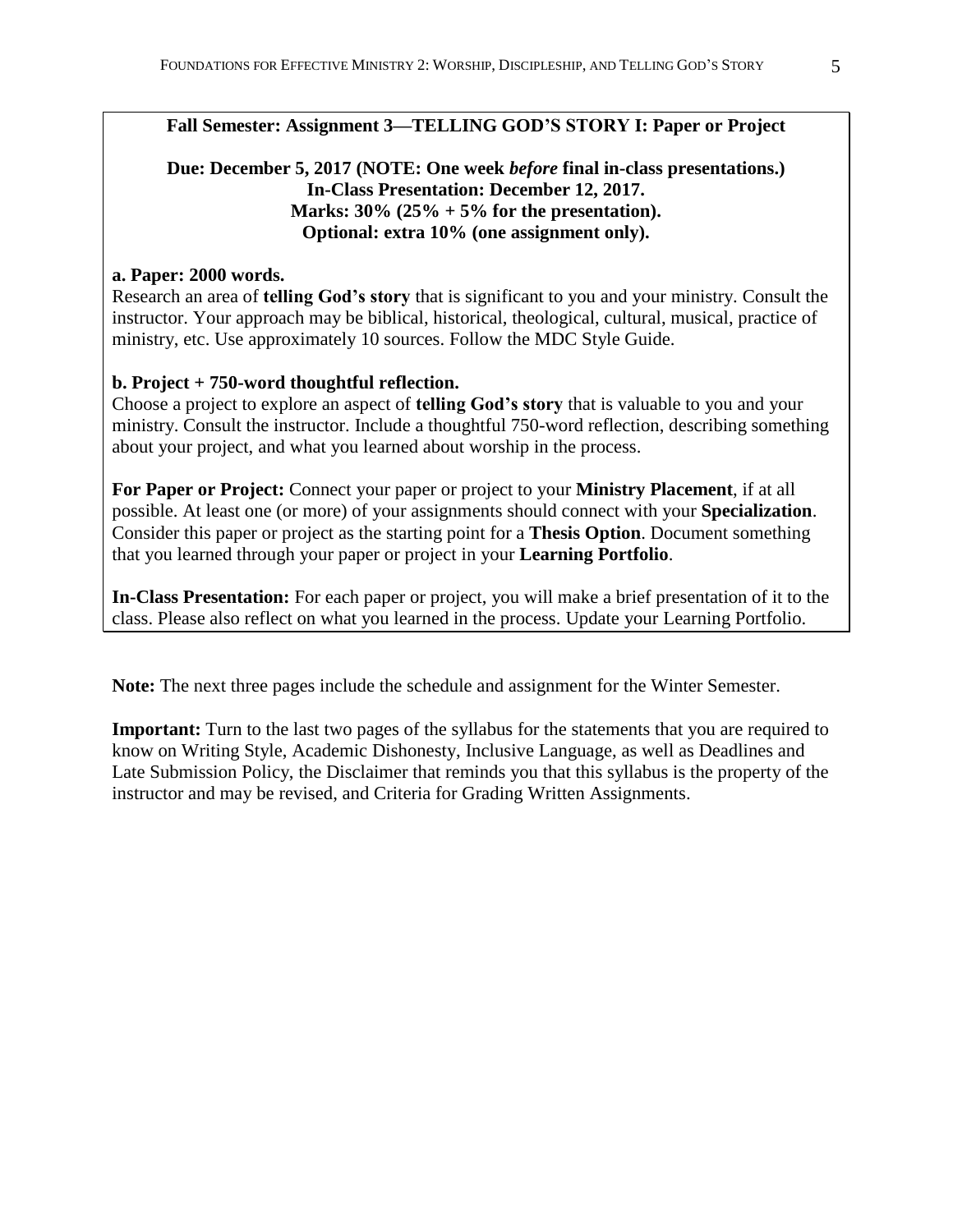### **Fall Semester: Assignment 3—TELLING GOD'S STORY I: Paper or Project**

## **Due: December 5, 2017 (NOTE: One week** *before* **final in-class presentations.) In-Class Presentation: December 12, 2017. Marks: 30% (25% + 5% for the presentation). Optional: extra 10% (one assignment only).**

#### **a. Paper: 2000 words.**

Research an area of **telling God's story** that is significant to you and your ministry. Consult the instructor. Your approach may be biblical, historical, theological, cultural, musical, practice of ministry, etc. Use approximately 10 sources. Follow the MDC Style Guide.

### **b. Project + 750-word thoughtful reflection.**

Choose a project to explore an aspect of **telling God's story** that is valuable to you and your ministry. Consult the instructor. Include a thoughtful 750-word reflection, describing something about your project, and what you learned about worship in the process.

**For Paper or Project:** Connect your paper or project to your **Ministry Placement**, if at all possible. At least one (or more) of your assignments should connect with your **Specialization**. Consider this paper or project as the starting point for a **Thesis Option**. Document something that you learned through your paper or project in your **Learning Portfolio**.

**In-Class Presentation:** For each paper or project, you will make a brief presentation of it to the class. Please also reflect on what you learned in the process. Update your Learning Portfolio.

**Note:** The next three pages include the schedule and assignment for the Winter Semester.

**Important:** Turn to the last two pages of the syllabus for the statements that you are required to know on Writing Style, Academic Dishonesty, Inclusive Language, as well as Deadlines and Late Submission Policy, the Disclaimer that reminds you that this syllabus is the property of the instructor and may be revised, and Criteria for Grading Written Assignments.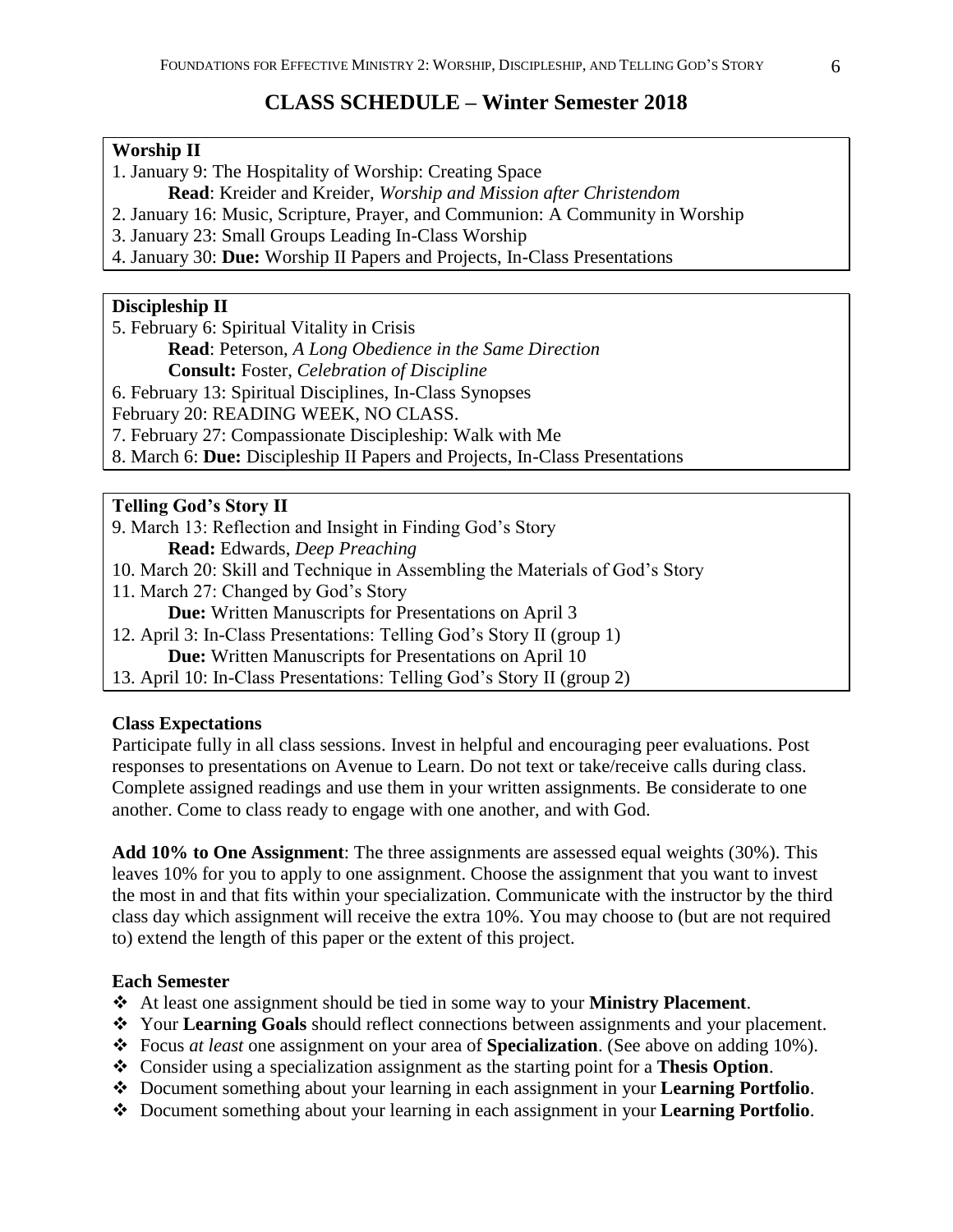## **CLASS SCHEDULE – Winter Semester 2018**

#### **Worship II**

- 1. January 9: The Hospitality of Worship: Creating Space **Read**: Kreider and Kreider, *Worship and Mission after Christendom*
- 2. January 16: Music, Scripture, Prayer, and Communion: A Community in Worship
- 3. January 23: Small Groups Leading In-Class Worship
- 4. January 30: **Due:** Worship II Papers and Projects, In-Class Presentations

## **Discipleship II**

- 5. February 6: Spiritual Vitality in Crisis
	- **Read**: Peterson, *A Long Obedience in the Same Direction* **Consult:** Foster, *Celebration of Discipline*
- 6. February 13: Spiritual Disciplines, In-Class Synopses

February 20: READING WEEK, NO CLASS.

- 7. February 27: Compassionate Discipleship: Walk with Me
- 8. March 6: **Due:** Discipleship II Papers and Projects, In-Class Presentations

## **Telling God's Story II**

- 9. March 13: Reflection and Insight in Finding God's Story
	- **Read:** Edwards, *Deep Preaching*
- 10. March 20: Skill and Technique in Assembling the Materials of God's Story
- 11. March 27: Changed by God's Story
	- **Due:** Written Manuscripts for Presentations on April 3
- 12. April 3: In-Class Presentations: Telling God's Story II (group 1)
	- **Due:** Written Manuscripts for Presentations on April 10
- 13. April 10: In-Class Presentations: Telling God's Story II (group 2)

#### **Class Expectations**

Participate fully in all class sessions. Invest in helpful and encouraging peer evaluations. Post responses to presentations on Avenue to Learn. Do not text or take/receive calls during class. Complete assigned readings and use them in your written assignments. Be considerate to one another. Come to class ready to engage with one another, and with God.

**Add 10% to One Assignment**: The three assignments are assessed equal weights (30%). This leaves 10% for you to apply to one assignment. Choose the assignment that you want to invest the most in and that fits within your specialization. Communicate with the instructor by the third class day which assignment will receive the extra 10%. You may choose to (but are not required to) extend the length of this paper or the extent of this project.

#### **Each Semester**

- At least one assignment should be tied in some way to your **Ministry Placement**.
- Your **Learning Goals** should reflect connections between assignments and your placement.
- Focus *at least* one assignment on your area of **Specialization**. (See above on adding 10%).
- Consider using a specialization assignment as the starting point for a **Thesis Option**.
- Document something about your learning in each assignment in your **Learning Portfolio**.
- Document something about your learning in each assignment in your **Learning Portfolio**.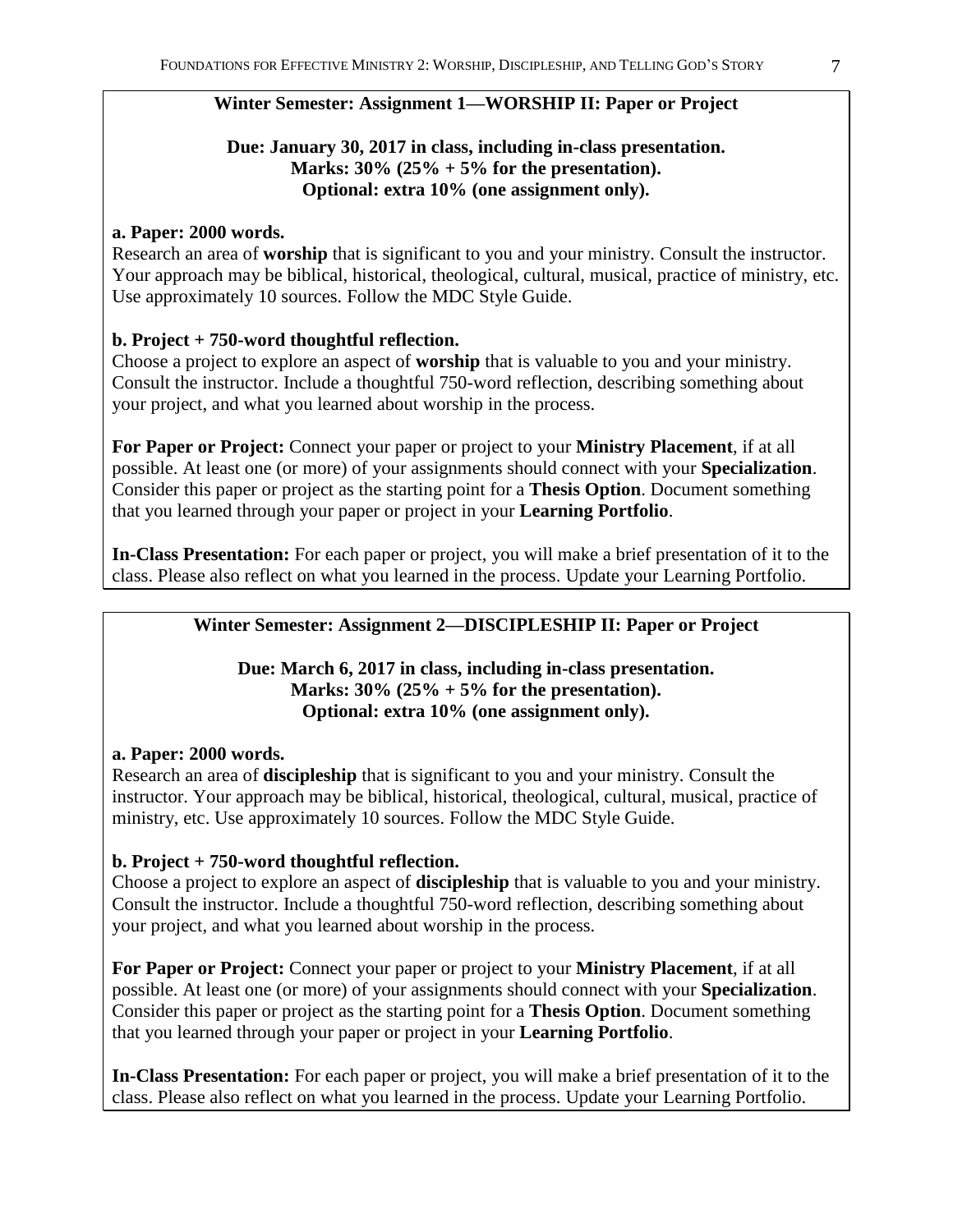### **Winter Semester: Assignment 1—WORSHIP II: Paper or Project**

## **Due: January 30, 2017 in class, including in-class presentation. Marks: 30% (25% + 5% for the presentation). Optional: extra 10% (one assignment only).**

#### **a. Paper: 2000 words.**

Research an area of **worship** that is significant to you and your ministry. Consult the instructor. Your approach may be biblical, historical, theological, cultural, musical, practice of ministry, etc. Use approximately 10 sources. Follow the MDC Style Guide.

### **b. Project + 750-word thoughtful reflection.**

Choose a project to explore an aspect of **worship** that is valuable to you and your ministry. Consult the instructor. Include a thoughtful 750-word reflection, describing something about your project, and what you learned about worship in the process.

**For Paper or Project:** Connect your paper or project to your **Ministry Placement**, if at all possible. At least one (or more) of your assignments should connect with your **Specialization**. Consider this paper or project as the starting point for a **Thesis Option**. Document something that you learned through your paper or project in your **Learning Portfolio**.

**In-Class Presentation:** For each paper or project, you will make a brief presentation of it to the class. Please also reflect on what you learned in the process. Update your Learning Portfolio.

### **Winter Semester: Assignment 2—DISCIPLESHIP II: Paper or Project**

## **Due: March 6, 2017 in class, including in-class presentation. Marks: 30% (25% + 5% for the presentation). Optional: extra 10% (one assignment only).**

## **a. Paper: 2000 words.**

Research an area of **discipleship** that is significant to you and your ministry. Consult the instructor. Your approach may be biblical, historical, theological, cultural, musical, practice of ministry, etc. Use approximately 10 sources. Follow the MDC Style Guide.

### **b. Project + 750-word thoughtful reflection.**

Choose a project to explore an aspect of **discipleship** that is valuable to you and your ministry. Consult the instructor. Include a thoughtful 750-word reflection, describing something about your project, and what you learned about worship in the process.

**For Paper or Project:** Connect your paper or project to your **Ministry Placement**, if at all possible. At least one (or more) of your assignments should connect with your **Specialization**. Consider this paper or project as the starting point for a **Thesis Option**. Document something that you learned through your paper or project in your **Learning Portfolio**.

**In-Class Presentation:** For each paper or project, you will make a brief presentation of it to the class. Please also reflect on what you learned in the process. Update your Learning Portfolio.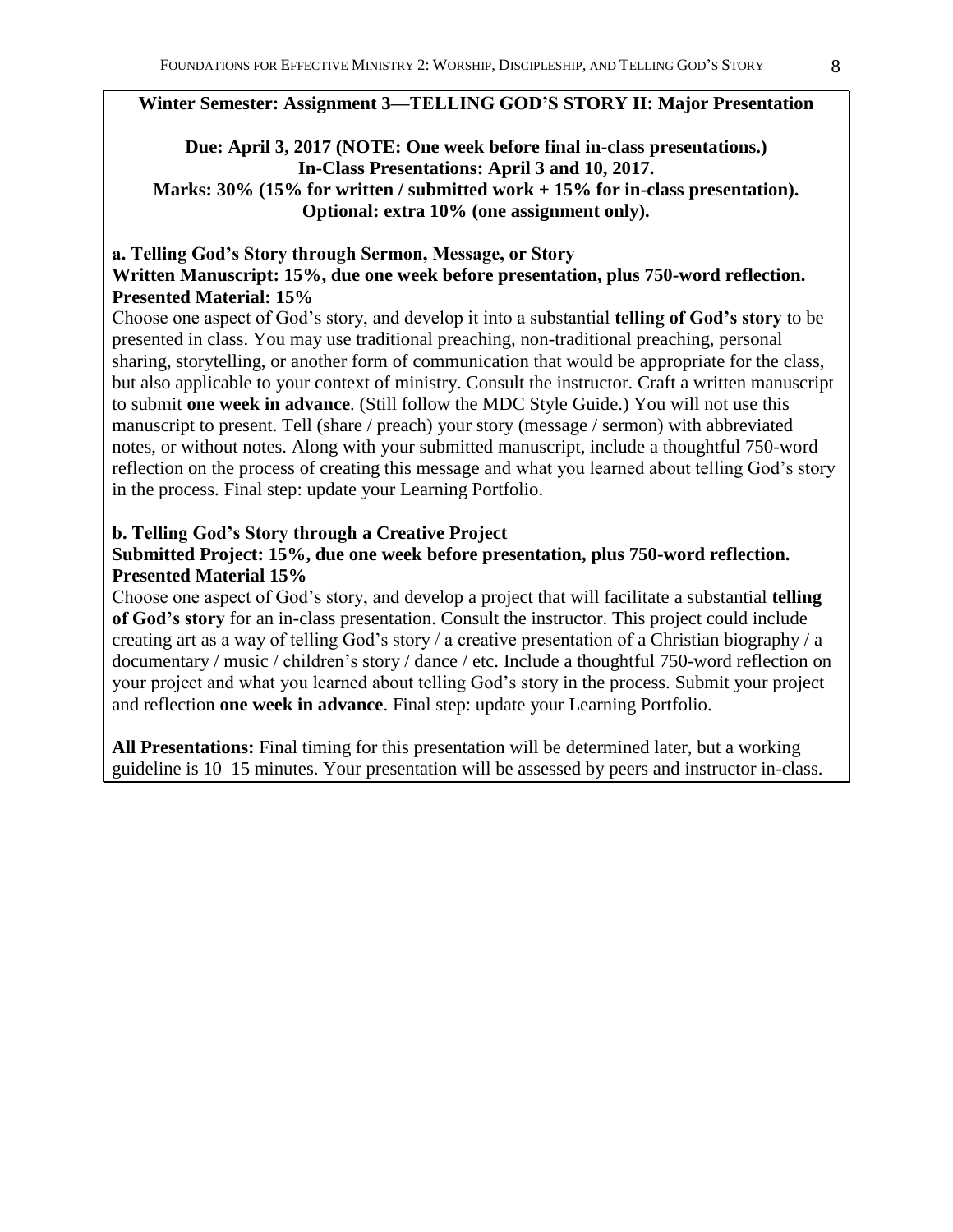## **Winter Semester: Assignment 3—TELLING GOD'S STORY II: Major Presentation**

## **Due: April 3, 2017 (NOTE: One week before final in-class presentations.) In-Class Presentations: April 3 and 10, 2017.**

**Marks: 30% (15% for written / submitted work + 15% for in-class presentation). Optional: extra 10% (one assignment only).**

#### **a. Telling God's Story through Sermon, Message, or Story**

**Written Manuscript: 15%, due one week before presentation, plus 750-word reflection. Presented Material: 15%**

Choose one aspect of God's story, and develop it into a substantial **telling of God's story** to be presented in class. You may use traditional preaching, non-traditional preaching, personal sharing, storytelling, or another form of communication that would be appropriate for the class, but also applicable to your context of ministry. Consult the instructor. Craft a written manuscript to submit **one week in advance**. (Still follow the MDC Style Guide.) You will not use this manuscript to present. Tell (share / preach) your story (message / sermon) with abbreviated notes, or without notes. Along with your submitted manuscript, include a thoughtful 750-word reflection on the process of creating this message and what you learned about telling God's story in the process. Final step: update your Learning Portfolio.

#### **b. Telling God's Story through a Creative Project**

### **Submitted Project: 15%, due one week before presentation, plus 750-word reflection. Presented Material 15%**

Choose one aspect of God's story, and develop a project that will facilitate a substantial **telling of God's story** for an in-class presentation. Consult the instructor. This project could include creating art as a way of telling God's story / a creative presentation of a Christian biography / a documentary / music / children's story / dance / etc. Include a thoughtful 750-word reflection on your project and what you learned about telling God's story in the process. Submit your project and reflection **one week in advance**. Final step: update your Learning Portfolio.

**All Presentations:** Final timing for this presentation will be determined later, but a working guideline is 10–15 minutes. Your presentation will be assessed by peers and instructor in-class.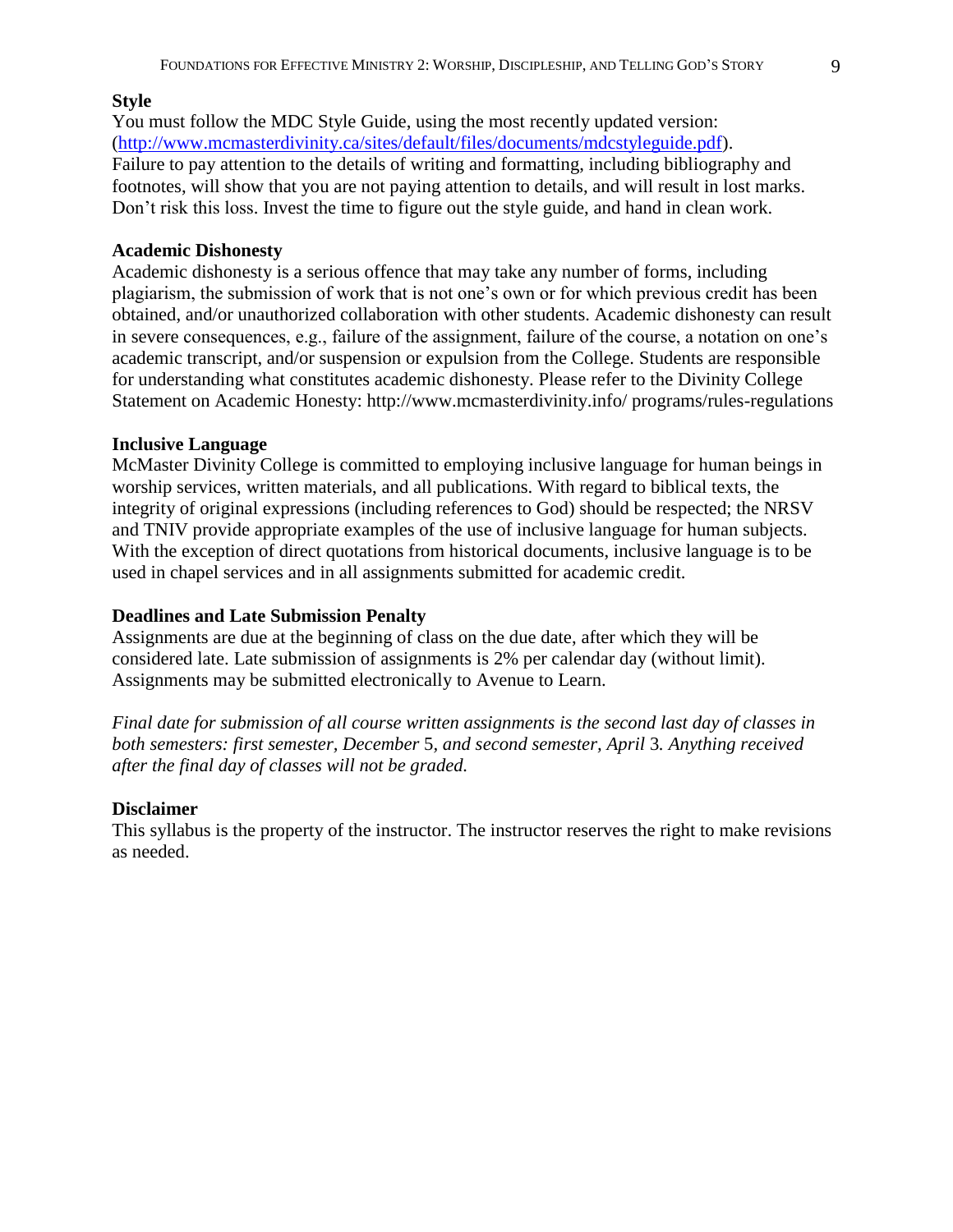#### **Style**

You must follow the MDC Style Guide, using the most recently updated version: [\(http://www.mcmasterdivinity.ca/sites/default/files/documents/mdcstyleguide.pdf\)](http://www.mcmasterdivinity.ca/sites/default/files/documents/mdcstyleguide.pdf). Failure to pay attention to the details of writing and formatting, including bibliography and footnotes, will show that you are not paying attention to details, and will result in lost marks. Don't risk this loss. Invest the time to figure out the style guide, and hand in clean work.

#### **Academic Dishonesty**

Academic dishonesty is a serious offence that may take any number of forms, including plagiarism, the submission of work that is not one's own or for which previous credit has been obtained, and/or unauthorized collaboration with other students. Academic dishonesty can result in severe consequences, e.g., failure of the assignment, failure of the course, a notation on one's academic transcript, and/or suspension or expulsion from the College. Students are responsible for understanding what constitutes academic dishonesty. Please refer to the Divinity College Statement on Academic Honesty: http://www.mcmasterdivinity.info/ programs/rules-regulations

#### **Inclusive Language**

McMaster Divinity College is committed to employing inclusive language for human beings in worship services, written materials, and all publications. With regard to biblical texts, the integrity of original expressions (including references to God) should be respected; the NRSV and TNIV provide appropriate examples of the use of inclusive language for human subjects. With the exception of direct quotations from historical documents, inclusive language is to be used in chapel services and in all assignments submitted for academic credit.

#### **Deadlines and Late Submission Penalty**

Assignments are due at the beginning of class on the due date, after which they will be considered late. Late submission of assignments is 2% per calendar day (without limit). Assignments may be submitted electronically to Avenue to Learn.

*Final date for submission of all course written assignments is the second last day of classes in both semesters: first semester, December* 5*, and second semester, April* 3*. Anything received after the final day of classes will not be graded.* 

#### **Disclaimer**

This syllabus is the property of the instructor. The instructor reserves the right to make revisions as needed.